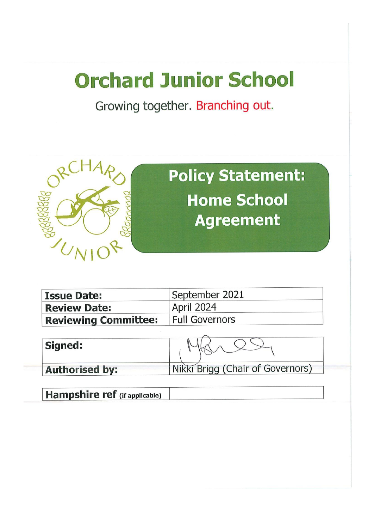# **Orchard Junior School**

Growing together. Branching out.



**Policy Statement: Home School Agreement** 

| <b>Issue Date:</b>                           | September 2021    |  |
|----------------------------------------------|-------------------|--|
| <b>Review Date:</b>                          | <b>April 2024</b> |  |
| <b>Reviewing Committee:</b>   Full Governors |                   |  |

| Signed:               |                                  |  |
|-----------------------|----------------------------------|--|
| <b>Authorised by:</b> | Nikki Brigg (Chair of Governors) |  |

**Hampshire ref** (if applicable)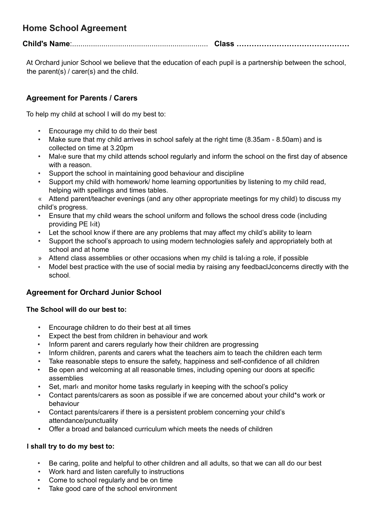# **Home School Agreement**

**Child's Name**:................................................................. **Class ………………………………………**

At Orchard junior School we believe that the education of each pupil is a partnership between the school, the parent(s) / carer(s) and the child.

## **Agreement for Parents / Carers**

To help my child at school I will do my best to:

- Encourage my child to do their best
- Make sure that my child arrives in school safely at the right time (8.35am 8.50am) and is collected on time at 3.20pm
- Mal‹e sure that my child attends school regularly and inform the school on the first day of absence with a reason.
- Support the school in maintaining good behaviour and discipline
- Support my child with homework/ home learning opportunities by listening to my child read, helping with spellings and times tables.

« Attend parent/teacher evenings (and any other appropriate meetings for my child) to discuss my child's progress.

- Ensure that my child wears the school uniform and follows the school dress code (including providing PE I‹it)
- Let the school know if there are any problems that may affect my child's ability to learn
- Support the school's approach to using modern technologies safely and appropriately both at school and at home
- » Attend class assemblies or other occasions when my child is taI‹ing a role, if possible
- Model best practice with the use of social media by raising any feedbaclJconcerns directly with the school.

### **Agreement for Orchard Junior School**

#### **The School will do our best to:**

- Encourage children to do their best at all times
- Expect the best from children in behaviour and work
- Inform parent and carers regularly how their children are progressing
- Inform children, parents and carers what the teachers aim to teach the children each term
- Take reasonable steps to ensure the safety, happiness and self-confidence of all children
- Be open and welcoming at all reasonable times, including opening our doors at specific assemblies
- Set, mark and monitor home tasks regularly in keeping with the school's policy
- Contact parents/carers as soon as possible if we are concerned about your chiId\*s work or behaviour
- Contact parents/carers if there is a persistent problem concerning your child's attendance/punctuality
- Offer a broad and balanced curriculum which meets the needs of children

#### **I shall try to do my best to:**

- Be caring, polite and helpful to other children and all adults, so that we can all do our best
- Work hard and listen carefully to instructions
- Come to school regularly and be on time
- Take good care of the school environment